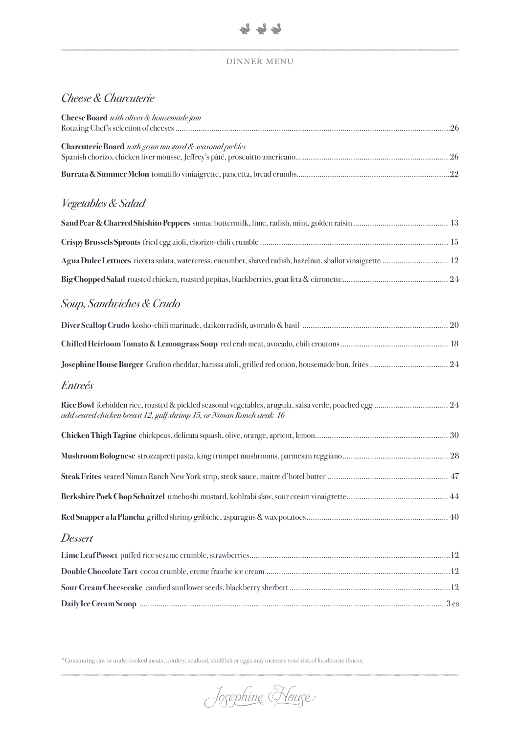## dinner menu

# *Cheese & Charcuterie*

| Cheese Board with olives & housemade jam                                                                   |  |
|------------------------------------------------------------------------------------------------------------|--|
| Charcuterie Board with grain mustard & seasonal pickles                                                    |  |
|                                                                                                            |  |
| Vegetables & Salad                                                                                         |  |
|                                                                                                            |  |
|                                                                                                            |  |
| Agua Dulce Lettuces ricotta salata, watercress, cucumber, shaved radish, hazelnut, shallot vinaigrette  12 |  |
|                                                                                                            |  |
| Soup, Sandwiches & Crudo                                                                                   |  |
|                                                                                                            |  |
|                                                                                                            |  |
|                                                                                                            |  |
| <i>Entreés</i>                                                                                             |  |
| add seared chicken breast 12, gulf shrimp 15, or Niman Ranch steak 16                                      |  |
|                                                                                                            |  |
|                                                                                                            |  |
|                                                                                                            |  |
|                                                                                                            |  |
|                                                                                                            |  |
| Dessert                                                                                                    |  |
|                                                                                                            |  |
|                                                                                                            |  |
|                                                                                                            |  |

\*Consuming raw or undercooked meats, poultry, seafood, shellfish or eggs may increase your risk of foodborne illness.

Josephine Kouse

**Daily Ice Cream Scoop** .............................................................................................................................. 3 ea